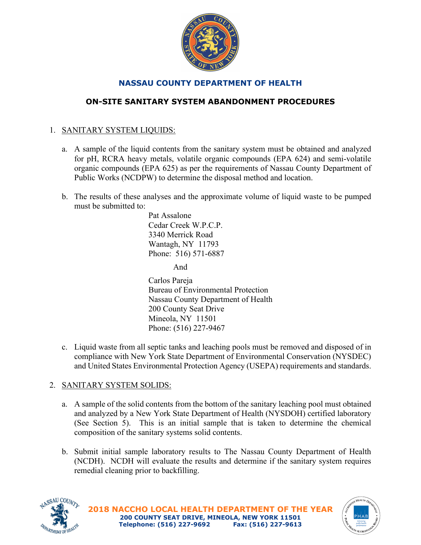

# **NASSAU COUNTY DEPARTMENT OF HEALTH**

# **ON-SITE SANITARY SYSTEM ABANDONMENT PROCEDURES**

# 1. SANITARY SYSTEM LIQUIDS:

- a. A sample of the liquid contents from the sanitary system must be obtained and analyzed for pH, RCRA heavy metals, volatile organic compounds (EPA 624) and semi-volatile organic compounds (EPA 625) as per the requirements of Nassau County Department of Public Works (NCDPW) to determine the disposal method and location.
- b. The results of these analyses and the approximate volume of liquid waste to be pumped must be submitted to:

Pat Assalone Cedar Creek W.P.C.P. 3340 Merrick Road Wantagh, NY 11793 Phone: 516) 571-6887

And

Carlos Pareja Bureau of Environmental Protection Nassau County Department of Health 200 County Seat Drive Mineola, NY 11501 Phone: (516) 227-9467

c. Liquid waste from all septic tanks and leaching pools must be removed and disposed of in compliance with New York State Department of Environmental Conservation (NYSDEC) and United States Environmental Protection Agency (USEPA) requirements and standards.

## 2. SANITARY SYSTEM SOLIDS:

- a. A sample of the solid contents from the bottom of the sanitary leaching pool must obtained and analyzed by a New York State Department of Health (NYSDOH) certified laboratory (See Section 5). This is an initial sample that is taken to determine the chemical composition of the sanitary systems solid contents.
- b. Submit initial sample laboratory results to The Nassau County Department of Health (NCDH). NCDH will evaluate the results and determine if the sanitary system requires remedial cleaning prior to backfilling.



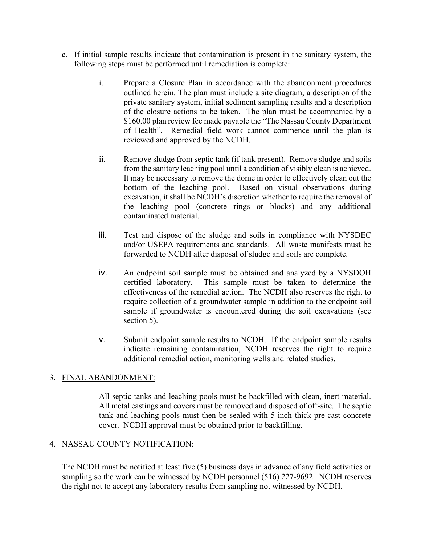- c. If initial sample results indicate that contamination is present in the sanitary system, the following steps must be performed until remediation is complete:
	- i. Prepare a Closure Plan in accordance with the abandonment procedures outlined herein. The plan must include a site diagram, a description of the private sanitary system, initial sediment sampling results and a description of the closure actions to be taken. The plan must be accompanied by a \$160.00 plan review fee made payable the "The Nassau County Department of Health". Remedial field work cannot commence until the plan is reviewed and approved by the NCDH.
	- ii. Remove sludge from septic tank (if tank present). Remove sludge and soils from the sanitary leaching pool until a condition of visibly clean is achieved. It may be necessary to remove the dome in order to effectively clean out the bottom of the leaching pool. Based on visual observations during excavation, it shall be NCDH's discretion whether to require the removal of the leaching pool (concrete rings or blocks) and any additional contaminated material.
	- iii. Test and dispose of the sludge and soils in compliance with NYSDEC and/or USEPA requirements and standards. All waste manifests must be forwarded to NCDH after disposal of sludge and soils are complete.
	- iv. An endpoint soil sample must be obtained and analyzed by a NYSDOH certified laboratory. This sample must be taken to determine the effectiveness of the remedial action. The NCDH also reserves the right to require collection of a groundwater sample in addition to the endpoint soil sample if groundwater is encountered during the soil excavations (see section 5).
	- v. Submit endpoint sample results to NCDH. If the endpoint sample results indicate remaining contamination, NCDH reserves the right to require additional remedial action, monitoring wells and related studies.

## 3. FINAL ABANDONMENT:

All septic tanks and leaching pools must be backfilled with clean, inert material. All metal castings and covers must be removed and disposed of off-site. The septic tank and leaching pools must then be sealed with 5-inch thick pre-cast concrete cover. NCDH approval must be obtained prior to backfilling.

### 4. NASSAU COUNTY NOTIFICATION:

The NCDH must be notified at least five (5) business days in advance of any field activities or sampling so the work can be witnessed by NCDH personnel (516) 227-9692. NCDH reserves the right not to accept any laboratory results from sampling not witnessed by NCDH.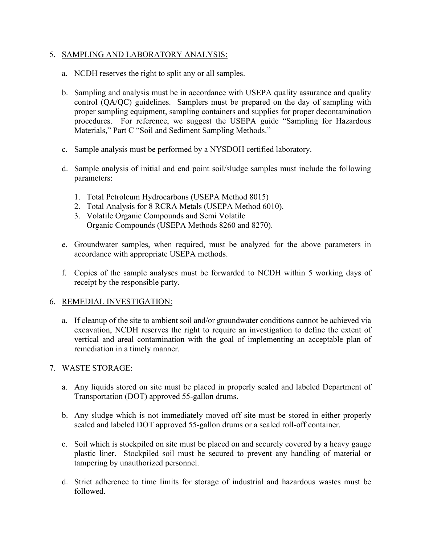### 5. SAMPLING AND LABORATORY ANALYSIS:

- a. NCDH reserves the right to split any or all samples.
- b. Sampling and analysis must be in accordance with USEPA quality assurance and quality control (QA/QC) guidelines. Samplers must be prepared on the day of sampling with proper sampling equipment, sampling containers and supplies for proper decontamination procedures. For reference, we suggest the USEPA guide "Sampling for Hazardous Materials," Part C "Soil and Sediment Sampling Methods."
- c. Sample analysis must be performed by a NYSDOH certified laboratory.
- d. Sample analysis of initial and end point soil/sludge samples must include the following parameters:
	- 1. Total Petroleum Hydrocarbons (USEPA Method 8015)
	- 2. Total Analysis for 8 RCRA Metals (USEPA Method 6010).
	- 3. Volatile Organic Compounds and Semi Volatile Organic Compounds (USEPA Methods 8260 and 8270).
- e. Groundwater samples, when required, must be analyzed for the above parameters in accordance with appropriate USEPA methods.
- f. Copies of the sample analyses must be forwarded to NCDH within 5 working days of receipt by the responsible party.

### 6. REMEDIAL INVESTIGATION:

a. If cleanup of the site to ambient soil and/or groundwater conditions cannot be achieved via excavation, NCDH reserves the right to require an investigation to define the extent of vertical and areal contamination with the goal of implementing an acceptable plan of remediation in a timely manner.

### 7. WASTE STORAGE:

- a. Any liquids stored on site must be placed in properly sealed and labeled Department of Transportation (DOT) approved 55-gallon drums.
- b. Any sludge which is not immediately moved off site must be stored in either properly sealed and labeled DOT approved 55-gallon drums or a sealed roll-off container.
- c. Soil which is stockpiled on site must be placed on and securely covered by a heavy gauge plastic liner. Stockpiled soil must be secured to prevent any handling of material or tampering by unauthorized personnel.
- d. Strict adherence to time limits for storage of industrial and hazardous wastes must be followed.